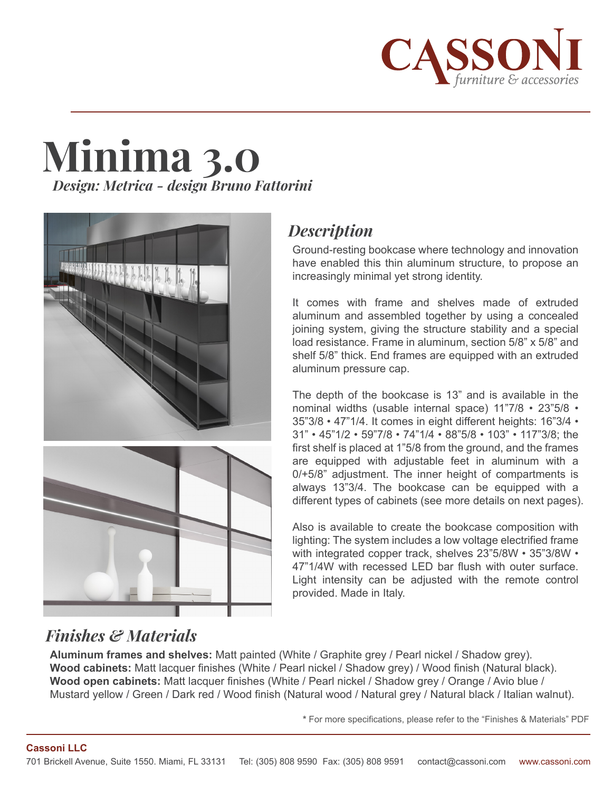

# **Minima 3.0** *Design: Metrica - design Bruno Fattorini*





# *Description*

Ground-resting bookcase where technology and innovation have enabled this thin aluminum structure, to propose an increasingly minimal yet strong identity.

It comes with frame and shelves made of extruded aluminum and assembled together by using a concealed joining system, giving the structure stability and a special load resistance. Frame in aluminum, section 5/8" x 5/8" and shelf 5/8" thick. End frames are equipped with an extruded aluminum pressure cap.

The depth of the bookcase is 13" and is available in the nominal widths (usable internal space) 11"7/8 • 23"5/8 • 35"3/8 • 47"1/4. It comes in eight different heights: 16"3/4 • 31" • 45"1/2 • 59"7/8 • 74"1/4 • 88"5/8 • 103" • 117"3/8; the first shelf is placed at 1"5/8 from the ground, and the frames are equipped with adjustable feet in aluminum with a 0/+5/8" adjustment. The inner height of compartments is always 13"3/4. The bookcase can be equipped with a different types of cabinets (see more details on next pages).

Also is available to create the bookcase composition with lighting: The system includes a low voltage electrified frame with integrated copper track, shelves 23"5/8W • 35"3/8W • 47"1/4W with recessed LED bar flush with outer surface. Light intensity can be adjusted with the remote control provided. Made in Italy.

# *Finishes & Materials*

**Aluminum frames and shelves:** Matt painted (White / Graphite grey / Pearl nickel / Shadow grey). **Wood cabinets:** Matt lacquer finishes (White / Pearl nickel / Shadow grey) / Wood finish (Natural black). **Wood open cabinets:** Matt lacquer finishes (White / Pearl nickel / Shadow grey / Orange / Avio blue / Mustard yellow / Green / Dark red / Wood finish (Natural wood / Natural grey / Natural black / Italian walnut).

**\*** For more specifications, please refer to the "Finishes & Materials" PDF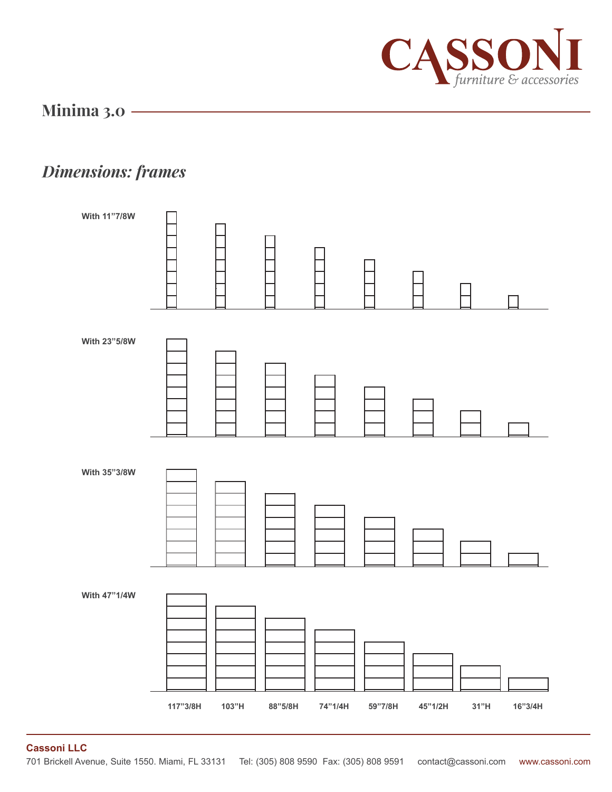

# *Dimensions: frames*



**Cassoni LLC**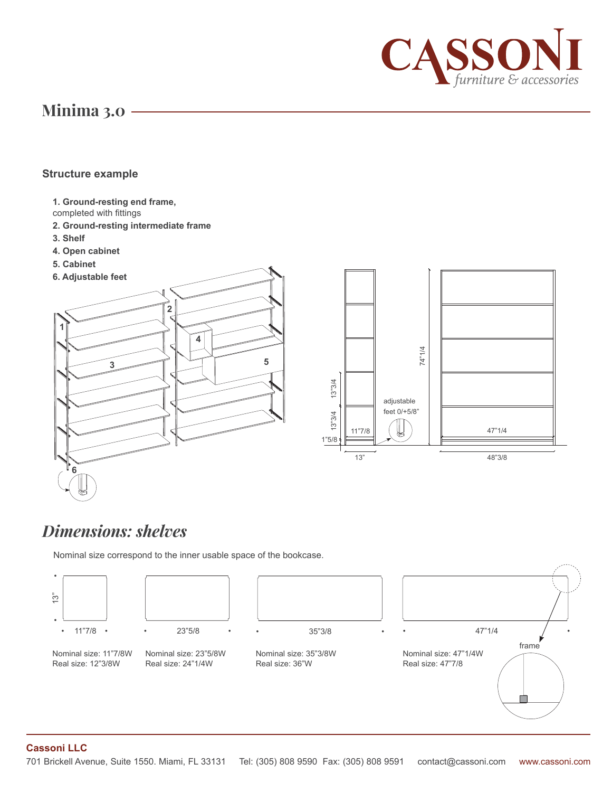

#### **Structure example**

- **1. Ground-resting end frame,**
- completed with fittings
- **2. Ground-resting intermediate frame**
- **3. Shelf**
- **4. Open cabinet**
- **5. Cabinet**



# *Dimensions: shelves*

Nominal size correspond to the inner usable space of the bookcase.



#### **Cassoni LLC**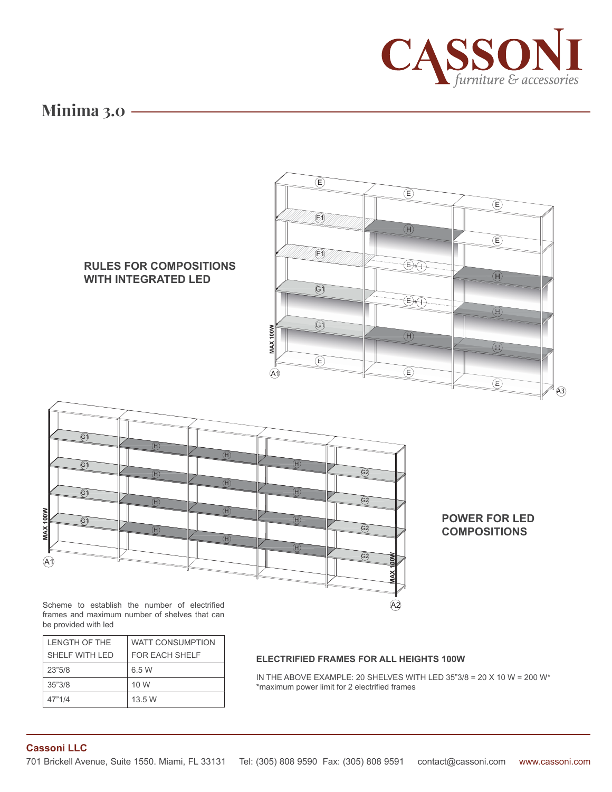



Scheme to establish the number of electrified frames and maximum number of shelves that can be provided with led

| I FNGTH OF THE  | WATT CONSUMPTION |
|-----------------|------------------|
| SHELF WITH I FD | FOR FACH SHELF   |
| 23"5/8          | 6.5 W            |
| 35"3/8          | 10 W             |
| 47"1/4          | 13.5 W           |

#### **ELECTRIFIED FRAMES FOR ALL HEIGHTS 100W**

IN THE ABOVE EXAMPLE: 20 SHELVES WITH LED 35"3/8 = 20 X 10 W = 200 W\* \*maximum power limit for 2 electrified frames

 $\widehat{A2}$ 

#### **Cassoni LLC**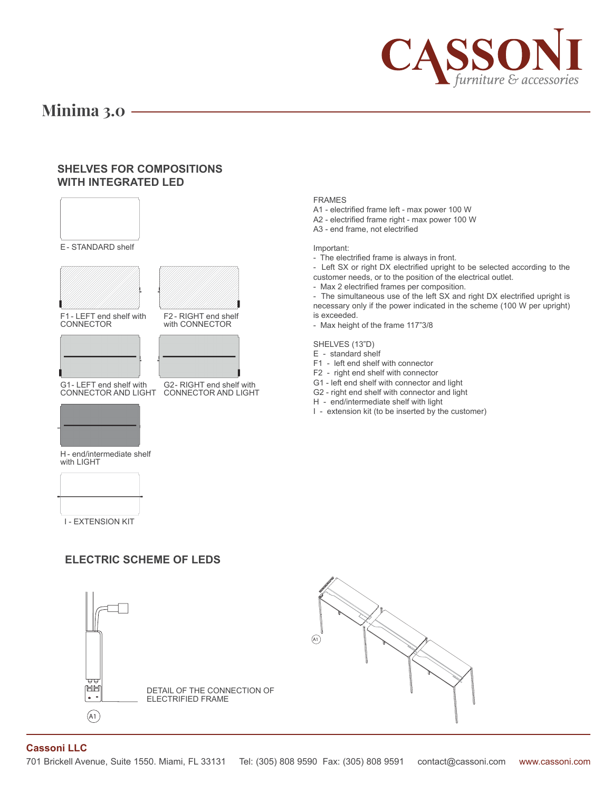

#### **SHELVES FOR COMPOSITIONS WITH INTEGRATED LED**



#### FRAMES

- A1 electrified frame left max power 100 W
- A2 electrified frame right max power 100 W
- A3 end frame, not electrified

#### Important:

- The electrified frame is always in front.

- Left SX or right DX electrified upright to be selected according to the

- customer needs, or to the position of the electrical outlet.
- Max 2 electrified frames per composition.

- The simultaneous use of the left SX and right DX electrified upright is necessary only if the power indicated in the scheme (100 W per upright) is exceeded.

- Max height of the frame 117"3/8

#### SHELVES (13"D)

- E standard shelf
- F1 left end shelf with connector
- F2 right end shelf with connector
- G1 left end shelf with connector and light
- G2 right end shelf with connector and light
- H end/intermediate shelf with light
- I extension kit (to be inserted by the customer)



DETAIL OF THE CONNECTION OF

ELECTRIFIED FRAME



**Cassoni LLC**

+ -  $\left(\overline{A1}\right)$ 

HH